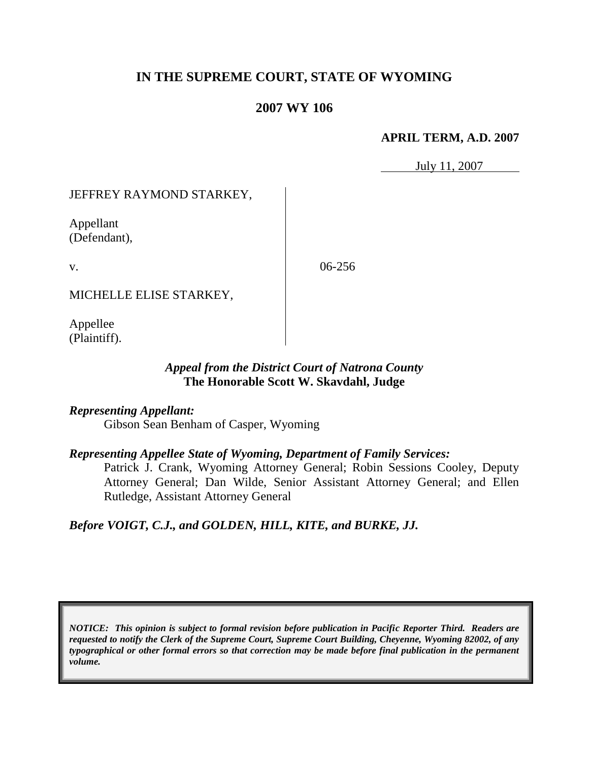# **IN THE SUPREME COURT, STATE OF WYOMING**

## **2007 WY 106**

#### **APRIL TERM, A.D. 2007**

July 11, 2007

## JEFFREY RAYMOND STARKEY,

Appellant (Defendant),

v.

06-256

MICHELLE ELISE STARKEY,

Appellee (Plaintiff).

### *Appeal from the District Court of Natrona County* **The Honorable Scott W. Skavdahl, Judge**

### *Representing Appellant:*

Gibson Sean Benham of Casper, Wyoming

### *Representing Appellee State of Wyoming, Department of Family Services:*

Patrick J. Crank, Wyoming Attorney General; Robin Sessions Cooley, Deputy Attorney General; Dan Wilde, Senior Assistant Attorney General; and Ellen Rutledge, Assistant Attorney General

### *Before VOIGT, C.J., and GOLDEN, HILL, KITE, and BURKE, JJ.*

*NOTICE: This opinion is subject to formal revision before publication in Pacific Reporter Third. Readers are requested to notify the Clerk of the Supreme Court, Supreme Court Building, Cheyenne, Wyoming 82002, of any typographical or other formal errors so that correction may be made before final publication in the permanent volume.*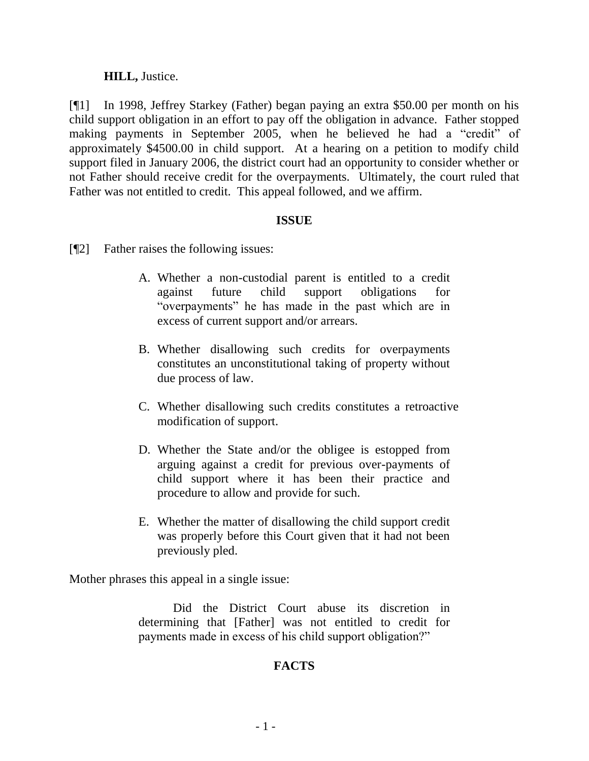#### **HILL,** Justice.

[¶1] In 1998, Jeffrey Starkey (Father) began paying an extra \$50.00 per month on his child support obligation in an effort to pay off the obligation in advance. Father stopped making payments in September 2005, when he believed he had a "credit" of approximately \$4500.00 in child support. At a hearing on a petition to modify child support filed in January 2006, the district court had an opportunity to consider whether or not Father should receive credit for the overpayments. Ultimately, the court ruled that Father was not entitled to credit. This appeal followed, and we affirm.

#### **ISSUE**

- [¶2] Father raises the following issues:
	- A. Whether a non-custodial parent is entitled to a credit against future child support obligations for "overpayments" he has made in the past which are in excess of current support and/or arrears.
	- B. Whether disallowing such credits for overpayments constitutes an unconstitutional taking of property without due process of law.
	- C. Whether disallowing such credits constitutes a retroactive modification of support.
	- D. Whether the State and/or the obligee is estopped from arguing against a credit for previous over-payments of child support where it has been their practice and procedure to allow and provide for such.
	- E. Whether the matter of disallowing the child support credit was properly before this Court given that it had not been previously pled.

Mother phrases this appeal in a single issue:

Did the District Court abuse its discretion in determining that [Father] was not entitled to credit for payments made in excess of his child support obligation?"

# **FACTS**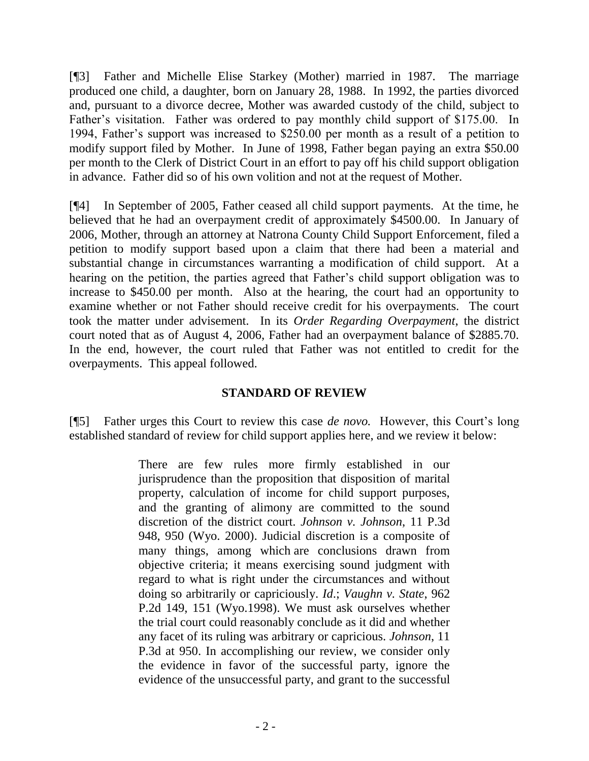[¶3] Father and Michelle Elise Starkey (Mother) married in 1987. The marriage produced one child, a daughter, born on January 28, 1988. In 1992, the parties divorced and, pursuant to a divorce decree, Mother was awarded custody of the child, subject to Father's visitation. Father was ordered to pay monthly child support of \$175.00. In 1994, Father"s support was increased to \$250.00 per month as a result of a petition to modify support filed by Mother. In June of 1998, Father began paying an extra \$50.00 per month to the Clerk of District Court in an effort to pay off his child support obligation in advance. Father did so of his own volition and not at the request of Mother.

[¶4] In September of 2005, Father ceased all child support payments. At the time, he believed that he had an overpayment credit of approximately \$4500.00. In January of 2006, Mother, through an attorney at Natrona County Child Support Enforcement, filed a petition to modify support based upon a claim that there had been a material and substantial change in circumstances warranting a modification of child support. At a hearing on the petition, the parties agreed that Father's child support obligation was to increase to \$450.00 per month. Also at the hearing, the court had an opportunity to examine whether or not Father should receive credit for his overpayments. The court took the matter under advisement. In its *Order Regarding Overpayment*, the district court noted that as of August 4, 2006, Father had an overpayment balance of \$2885.70. In the end, however, the court ruled that Father was not entitled to credit for the overpayments. This appeal followed.

### **STANDARD OF REVIEW**

[¶5] Father urges this Court to review this case *de novo*. However, this Court's long established standard of review for child support applies here, and we review it below:

> There are few rules more firmly established in our jurisprudence than the proposition that disposition of marital property, calculation of income for child support purposes, and the granting of alimony are committed to the sound discretion of the district court. *Johnson v. Johnson*, 11 P.3d 948, 950 (Wyo. 2000). Judicial discretion is a composite of many things, among which are conclusions drawn from objective criteria; it means exercising sound judgment with regard to what is right under the circumstances and without doing so arbitrarily or capriciously. *Id*.; *Vaughn v. State*, 962 P.2d 149, 151 (Wyo.1998). We must ask ourselves whether the trial court could reasonably conclude as it did and whether any facet of its ruling was arbitrary or capricious. *[Johnson](http://www.lexis.com/research/buttonTFLink?_m=231456043d99afbfd9d37610014462d2&_xfercite=%3ccite%20cc%3d%22USA%22%3e%3c%21%5bCDATA%5b2006%20WY%2083%5d%5d%3e%3c%2fcite%3e&_butType=3&_butStat=2&_butNum=54&_butInline=1&_butinfo=%3ccite%20cc%3d%22USA%22%3e%3c%21%5bCDATA%5b11%20P.3d%20948%2c%20950%5d%5d%3e%3c%2fcite%3e&_fmtstr=FULL&docnum=1&_startdoc=1&wchp=dGLzVzz-zSkAz&_md5=6415301157e01e479b4df79d275bdcef)*, 11 [P.3d at 950.](http://www.lexis.com/research/buttonTFLink?_m=231456043d99afbfd9d37610014462d2&_xfercite=%3ccite%20cc%3d%22USA%22%3e%3c%21%5bCDATA%5b2006%20WY%2083%5d%5d%3e%3c%2fcite%3e&_butType=3&_butStat=2&_butNum=54&_butInline=1&_butinfo=%3ccite%20cc%3d%22USA%22%3e%3c%21%5bCDATA%5b11%20P.3d%20948%2c%20950%5d%5d%3e%3c%2fcite%3e&_fmtstr=FULL&docnum=1&_startdoc=1&wchp=dGLzVzz-zSkAz&_md5=6415301157e01e479b4df79d275bdcef) In accomplishing our review, we consider only the evidence in favor of the successful party, ignore the evidence of the unsuccessful party, and grant to the successful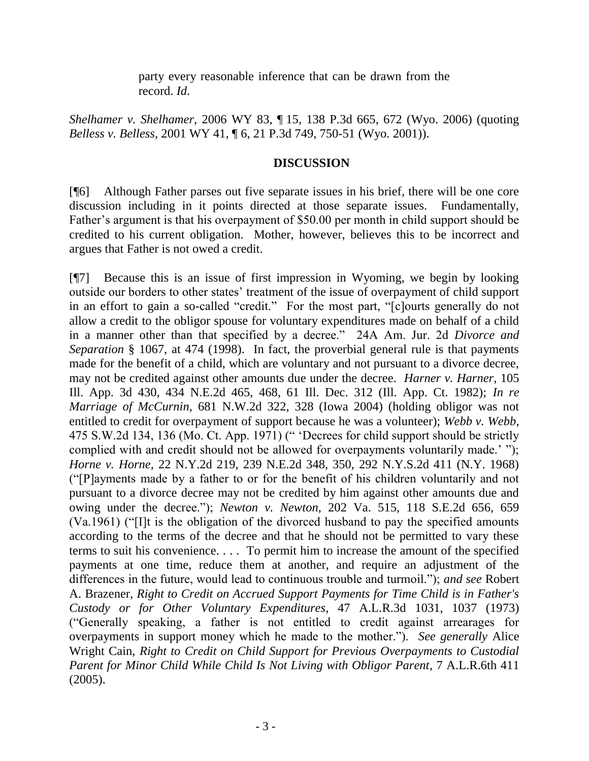party every reasonable inference that can be drawn from the record. *Id*.

*Shelhamer v. Shelhamer,* 2006 WY 83, ¶ 15, 138 P.3d 665, 672 (Wyo. 2006) (quoting *Belless v. Belless,* 2001 WY 41, ¶ 6, 21 P.3d 749, 750-51 (Wyo. 2001)).

#### **DISCUSSION**

[¶6] Although Father parses out five separate issues in his brief, there will be one core discussion including in it points directed at those separate issues. Fundamentally, Father's argument is that his overpayment of \$50.00 per month in child support should be credited to his current obligation. Mother, however, believes this to be incorrect and argues that Father is not owed a credit.

[¶7] Because this is an issue of first impression in Wyoming, we begin by looking outside our borders to other states" treatment of the issue of overpayment of child support in an effort to gain a so-called "credit." For the most part, "[c]ourts generally do not allow a credit to the obligor spouse for voluntary expenditures made on behalf of a child in a manner other than that specified by a decree." 24A Am. Jur. 2d *Divorce and Separation* § 1067, at 474 (1998). In fact, the proverbial general rule is that payments made for the benefit of a child, which are voluntary and not pursuant to a divorce decree, may not be credited against other amounts due under the decree. *Harner v. Harner,* 105 Ill. App. 3d 430, 434 N.E.2d 465, 468, 61 Ill. Dec. 312 (Ill. App. Ct. 1982); *In re Marriage of McCurnin*, 681 N.W.2d 322, 328 (Iowa 2004) (holding obligor was not entitled to credit for overpayment of support because he was a volunteer); *Webb v. Webb*, 475 S.W.2d 134, 136 (Mo. Ct. App. 1971) (" "Decrees for child support should be strictly complied with and credit should not be allowed for overpayments voluntarily made." "); *Horne v. Horne*, 22 N.Y.2d 219, 239 N.E.2d 348, 350, 292 N.Y.S.2d 411 (N.Y. 1968) ("[P]ayments made by a father to or for the benefit of his children voluntarily and not pursuant to a divorce decree may not be credited by him against other amounts due and owing under the decree."); *Newton v. Newton*, 202 Va. 515, 118 S.E.2d 656, 659 (Va.1961) ("[I]t is the obligation of the divorced husband to pay the specified amounts according to the terms of the decree and that he should not be permitted to vary these terms to suit his convenience. . . . To permit him to increase the amount of the specified payments at one time, reduce them at another, and require an adjustment of the differences in the future, would lead to continuous trouble and turmoil."); *and see* Robert A. Brazener, *Right to Credit on Accrued Support Payments for Time Child is in Father's Custody or for Other Voluntary Expenditures*, 47 A.L.R.3d 1031, 1037 (1973) ("Generally speaking, a father is not entitled to credit against arrearages for overpayments in support money which he made to the mother."). *See generally* Alice Wright Cain, *Right to Credit on Child Support for Previous Overpayments to Custodial Parent for Minor Child While Child Is Not Living with Obligor Parent*, 7 A.L.R.6th 411 (2005).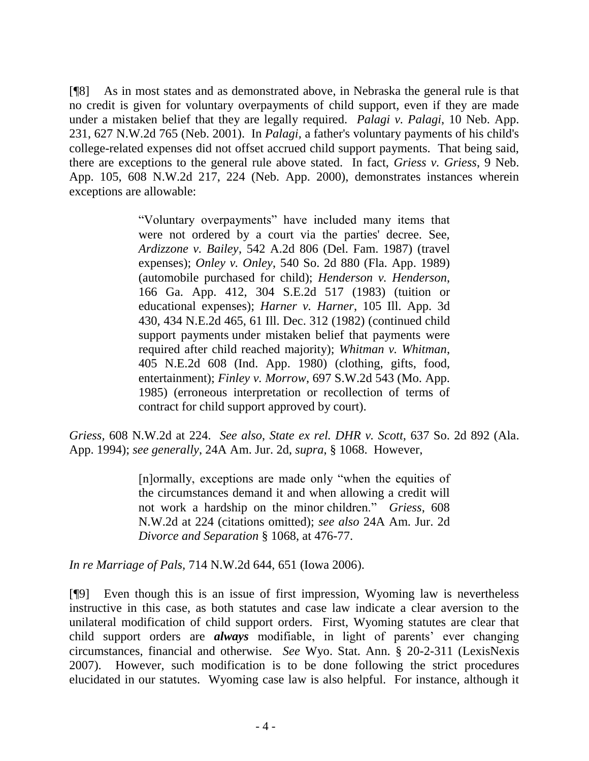[¶8] As in most states and as demonstrated above, in Nebraska the general rule is that no credit is given for voluntary overpayments of child support, even if they are made under a mistaken belief that they are legally required. *Palagi v. Palagi*, 10 Neb. App. 231, 627 N.W.2d 765 (Neb. 2001). In *Palagi,* a father's voluntary payments of his child's college-related expenses did not offset accrued child support payments. That being said, there are exceptions to the general rule above stated. In fact, *Griess v. Griess*, 9 Neb. App. 105, 608 N.W.2d 217, 224 (Neb. App. 2000), demonstrates instances wherein exceptions are allowable:

> "Voluntary overpayments" have included many items that were not ordered by a court via the parties' decree. See, *Ardizzone v. Bailey*[, 542 A.2d 806 \(Del. Fam. 1987\)](http://www.lexis.com/research/buttonTFLink?_m=6862582149b33e894524b2e3375f0b05&_xfercite=%3ccite%20cc%3d%22USA%22%3e%3c%21%5bCDATA%5b9%20Neb.%20App.%20105%5d%5d%3e%3c%2fcite%3e&_butType=3&_butStat=2&_butNum=82&_butInline=1&_butinfo=%3ccite%20cc%3d%22USA%22%3e%3c%21%5bCDATA%5b542%20A.2d%20806%5d%5d%3e%3c%2fcite%3e&_fmtstr=FULL&docnum=1&_startdoc=1&wchp=dGLbVzb-zSkAl&_md5=6a5df7106ab1896c50ce562ebc3e1ef9) (travel expenses); *Onley v. Onley*[, 540 So. 2d 880 \(Fla. App. 1989\)](http://www.lexis.com/research/buttonTFLink?_m=6862582149b33e894524b2e3375f0b05&_xfercite=%3ccite%20cc%3d%22USA%22%3e%3c%21%5bCDATA%5b9%20Neb.%20App.%20105%5d%5d%3e%3c%2fcite%3e&_butType=3&_butStat=2&_butNum=83&_butInline=1&_butinfo=%3ccite%20cc%3d%22USA%22%3e%3c%21%5bCDATA%5b540%20So.%202d%20880%5d%5d%3e%3c%2fcite%3e&_fmtstr=FULL&docnum=1&_startdoc=1&wchp=dGLbVzb-zSkAl&_md5=c8bbc537502ecc58a5e45b8001a5725f) (automobile purchased for child); *Henderson v. Henderson*, 166 Ga. App. 412, 304 S.E.2d 517 (1983) (tuition or educational expenses); *Harner v. Harner*[, 105 Ill. App. 3d](http://www.lexis.com/research/buttonTFLink?_m=6862582149b33e894524b2e3375f0b05&_xfercite=%3ccite%20cc%3d%22USA%22%3e%3c%21%5bCDATA%5b9%20Neb.%20App.%20105%5d%5d%3e%3c%2fcite%3e&_butType=3&_butStat=2&_butNum=85&_butInline=1&_butinfo=%3ccite%20cc%3d%22USA%22%3e%3c%21%5bCDATA%5b105%20Ill.%20App.%203d%20430%5d%5d%3e%3c%2fcite%3e&_fmtstr=FULL&docnum=1&_startdoc=1&wchp=dGLbVzb-zSkAl&_md5=9e4914768a62fe5a933ab2c8ba840f75)  [430, 434 N.E.2d 465, 61 Ill. Dec. 312 \(1982\)](http://www.lexis.com/research/buttonTFLink?_m=6862582149b33e894524b2e3375f0b05&_xfercite=%3ccite%20cc%3d%22USA%22%3e%3c%21%5bCDATA%5b9%20Neb.%20App.%20105%5d%5d%3e%3c%2fcite%3e&_butType=3&_butStat=2&_butNum=85&_butInline=1&_butinfo=%3ccite%20cc%3d%22USA%22%3e%3c%21%5bCDATA%5b105%20Ill.%20App.%203d%20430%5d%5d%3e%3c%2fcite%3e&_fmtstr=FULL&docnum=1&_startdoc=1&wchp=dGLbVzb-zSkAl&_md5=9e4914768a62fe5a933ab2c8ba840f75) (continued child support payments under mistaken belief that payments were required after child reached majority); *Whitman v. Whitman*, 405 N.E.2d 608 (Ind. App. 1980) (clothing, gifts, food, entertainment); *Finley v. Morrow*, 697 S.W.2d 543 (Mo. App. 1985) (erroneous interpretation or recollection of terms of contract for child support approved by court).

*Griess,* 608 N.W.2d at 224. *See also*, *State ex rel. DHR v. Scott*, 637 So. 2d 892 (Ala. App. 1994); *see generally*, 24A Am. Jur. 2d, *supra*, § 1068. However,

> [n]ormally, exceptions are made only "when the equities of the circumstances demand it and when allowing a credit will not work a hardship on the minor children." *Griess*, 608 N.W.2d at 224 (citations omitted); *see also* [24A Am. Jur. 2d](http://www.lexis.com/research/buttonTFLink?_m=60b9fe8b0f9093ea77a99c3c5eda0eea&_xfercite=%3ccite%20cc%3d%22USA%22%3e%3c%21%5bCDATA%5b714%20N.W.2d%20644%5d%5d%3e%3c%2fcite%3e&_butType=4&_butStat=0&_butNum=90&_butInline=1&_butinfo=AM%20JUR%202D%20DIVORCE%20SEPARATION%201068&_fmtstr=FULL&docnum=1&_startdoc=1&wchp=dGLbVzW-zSkAz&_md5=b9a959a16b52807227e0e6966aef59bd)  *[Divorce and Separation](http://www.lexis.com/research/buttonTFLink?_m=60b9fe8b0f9093ea77a99c3c5eda0eea&_xfercite=%3ccite%20cc%3d%22USA%22%3e%3c%21%5bCDATA%5b714%20N.W.2d%20644%5d%5d%3e%3c%2fcite%3e&_butType=4&_butStat=0&_butNum=90&_butInline=1&_butinfo=AM%20JUR%202D%20DIVORCE%20SEPARATION%201068&_fmtstr=FULL&docnum=1&_startdoc=1&wchp=dGLbVzW-zSkAz&_md5=b9a959a16b52807227e0e6966aef59bd)* § 1068, at 476-77.

*In re Marriage of Pals,* 714 N.W.2d 644, 651 (Iowa 2006).

[¶9] Even though this is an issue of first impression, Wyoming law is nevertheless instructive in this case, as both statutes and case law indicate a clear aversion to the unilateral modification of child support orders. First, Wyoming statutes are clear that child support orders are *always* modifiable, in light of parents' ever changing circumstances, financial and otherwise. *See* Wyo. Stat. Ann. § 20-2-311 (LexisNexis 2007). However, such modification is to be done following the strict procedures elucidated in our statutes. Wyoming case law is also helpful. For instance, although it